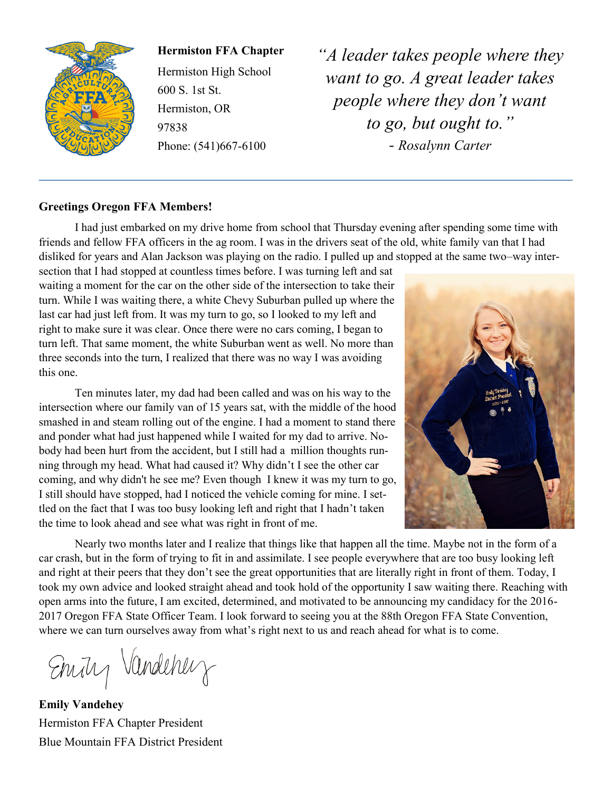

**Hermiston FFA Chapter**

Hermiston High School 600 S. 1st St. Hermiston, OR 97838 Phone: (541)667-6100

*"A leader takes people where they want to go. A great leader takes people where they don't want to go, but ought to." - Rosalynn Carter*

#### **Greetings Oregon FFA Members!**

I had just embarked on my drive home from school that Thursday evening after spending some time with friends and fellow FFA officers in the ag room. I was in the drivers seat of the old, white family van that I had disliked for years and Alan Jackson was playing on the radio. I pulled up and stopped at the same two–way inter-

**——————————————————————————————————————————–——**

section that I had stopped at countless times before. I was turning left and sat waiting a moment for the car on the other side of the intersection to take their turn. While I was waiting there, a white Chevy Suburban pulled up where the last car had just left from. It was my turn to go, so I looked to my left and right to make sure it was clear. Once there were no cars coming, I began to turn left. That same moment, the white Suburban went as well. No more than three seconds into the turn, I realized that there was no way I was avoiding this one.

Ten minutes later, my dad had been called and was on his way to the intersection where our family van of 15 years sat, with the middle of the hood smashed in and steam rolling out of the engine. I had a moment to stand there and ponder what had just happened while I waited for my dad to arrive. Nobody had been hurt from the accident, but I still had a million thoughts running through my head. What had caused it? Why didn't I see the other car coming, and why didn't he see me? Even though I knew it was my turn to go, I still should have stopped, had I noticed the vehicle coming for mine. I settled on the fact that I was too busy looking left and right that I hadn't taken the time to look ahead and see what was right in front of me.



Nearly two months later and I realize that things like that happen all the time. Maybe not in the form of a car crash, but in the form of trying to fit in and assimilate. I see people everywhere that are too busy looking left and right at their peers that they don't see the great opportunities that are literally right in front of them. Today, I took my own advice and looked straight ahead and took hold of the opportunity I saw waiting there. Reaching with open arms into the future, I am excited, determined, and motivated to be announcing my candidacy for the 2016- 2017 Oregon FFA State Officer Team. I look forward to seeing you at the 88th Oregon FFA State Convention, where we can turn ourselves away from what's right next to us and reach ahead for what is to come.

Emity Vandeherry

**Emily Vandehey** Hermiston FFA Chapter President Blue Mountain FFA District President